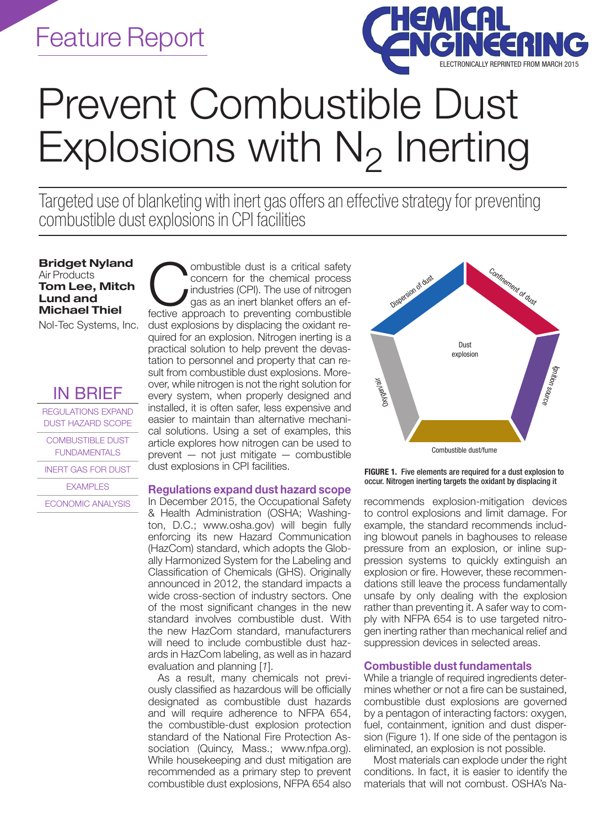

# Prevent Combustible Dust Explosions with  $N_2$  Inerting

Targeted use of blanketing with inert gas offers an effective strategy for preventing combustible dust explosions in CPI facilities

Bridget Nyland Air Products Tom Lee, Mitch Lund and Michael Thiel

Nol-Tec Systems, Inc.

# IN BRIEF

REGULATIONS EXPAND DUST HAZARD SCOPE

COMBUSTIBLE DUST FUNDAMENTALS

INERT GAS FOR DUST

EXAMPLES

ECONOMIC ANALYSIS

combustible dust is a critical safety<br>concern for the chemical process<br>industries (CPI). The use of nitrogen<br>fective approach to preventing combustible concern for the chemical process industries (CPI). The use of nitrogen gas as an inert blanket offers an effective approach to preventing combustible dust explosions by displacing the oxidant required for an explosion. Nitrogen inerting is a practical solution to help prevent the devastation to personnel and property that can result from combustible dust explosions. Moreover, while nitrogen is not the right solution for every system, when properly designed and installed, it is often safer, less expensive and easier to maintain than alternative mechanical solutions. Using a set of examples, this article explores how nitrogen can be used to prevent — not just mitigate — combustible dust explosions in CPI facilities.

# Regulations expand dust hazard scope

In December 2015, the Occupational Safety & Health Administration (OSHA; Washington, D.C.; www.osha.gov) will begin fully enforcing its new Hazard Communication (HazCom) standard, which adopts the Globally Harmonized System for the Labeling and Classification of Chemicals (GHS). Originally announced in 2012, the standard impacts a wide cross-section of industry sectors. One of the most significant changes in the new standard involves combustible dust. With the new HazCom standard, manufacturers will need to include combustible dust hazards in HazCom labeling, as well as in hazard evaluation and planning [*1*].

As a result, many chemicals not previously classified as hazardous will be officially designated as combustible dust hazards and will require adherence to NFPA 654, the combustible-dust explosion protection standard of the National Fire Protection Association (Quincy, Mass.; www.nfpa.org). While housekeeping and dust mitigation are recommended as a primary step to prevent combustible dust explosions, NFPA 654 also



FIGURE 1. Five elements are required for a dust explosion to occur. Nitrogen inerting targets the oxidant by displacing it

recommends explosion-mitigation devices to control explosions and limit damage. For example, the standard recommends including blowout panels in baghouses to release pressure from an explosion, or inline suppression systems to quickly extinguish an explosion or fire. However, these recommendations still leave the process fundamentally unsafe by only dealing with the explosion rather than preventing it. A safer way to comply with NFPA 654 is to use targeted nitrogen inerting rather than mechanical relief and suppression devices in selected areas.

# Combustible dust fundamentals

While a triangle of required ingredients determines whether or not a fire can be sustained, combustible dust explosions are governed by a pentagon of interacting factors: oxygen, fuel, containment, ignition and dust dispersion (Figure 1). If one side of the pentagon is eliminated, an explosion is not possible.

Most materials can explode under the right conditions. In fact, it is easier to identify the materials that will not combust. OSHA's Na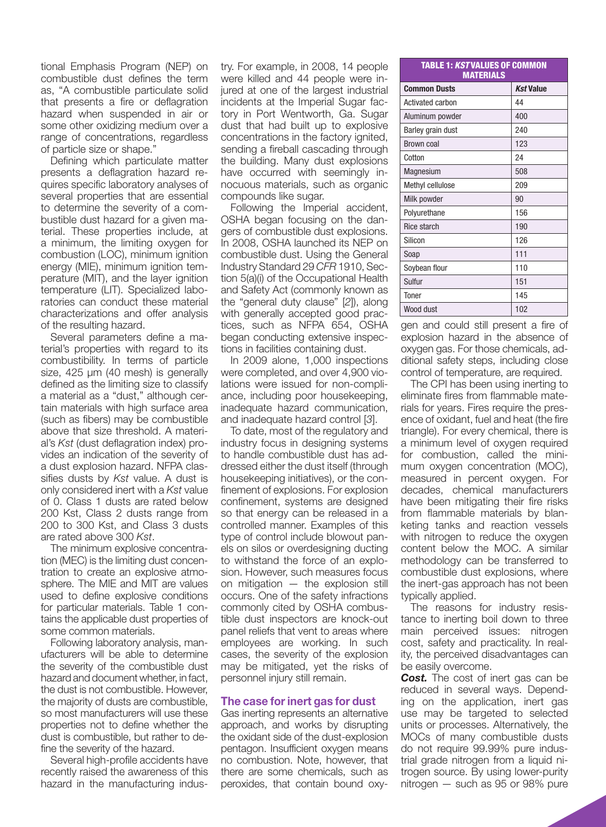tional Emphasis Program (NEP) on combustible dust defines the term as, "A combustible particulate solid that presents a fire or deflagration hazard when suspended in air or some other oxidizing medium over a range of concentrations, regardless of particle size or shape."

Defining which particulate matter presents a deflagration hazard requires specific laboratory analyses of several properties that are essential to determine the severity of a combustible dust hazard for a given material. These properties include, at a minimum, the limiting oxygen for combustion (LOC), minimum ignition energy (MIE), minimum ignition temperature (MIT), and the layer ignition temperature (LIT). Specialized laboratories can conduct these material characterizations and offer analysis of the resulting hazard.

Several parameters define a material's properties with regard to its combustibility. In terms of particle size, 425 µm (40 mesh) is generally defined as the limiting size to classify a material as a "dust," although certain materials with high surface area (such as fibers) may be combustible above that size threshold. A material's *Kst* (dust deflagration index) provides an indication of the severity of a dust explosion hazard. NFPA classifies dusts by *Kst* value. A dust is only considered inert with a *Kst* value of 0. Class 1 dusts are rated below 200 Kst, Class 2 dusts range from 200 to 300 Kst, and Class 3 dusts are rated above 300 *Kst*.

The minimum explosive concentration (MEC) is the limiting dust concentration to create an explosive atmosphere. The MIE and MIT are values used to define explosive conditions for particular materials. Table 1 contains the applicable dust properties of some common materials.

Following laboratory analysis, manufacturers will be able to determine the severity of the combustible dust hazard and document whether, in fact, the dust is not combustible. However, the majority of dusts are combustible, so most manufacturers will use these properties not to define whether the dust is combustible, but rather to define the severity of the hazard.

Several high-profile accidents have recently raised the awareness of this hazard in the manufacturing industry. For example, in 2008, 14 people were killed and 44 people were injured at one of the largest industrial incidents at the Imperial Sugar factory in Port Wentworth, Ga. Sugar dust that had built up to explosive concentrations in the factory ignited, sending a fireball cascading through the building. Many dust explosions have occurred with seemingly innocuous materials, such as organic compounds like sugar.

Following the Imperial accident, OSHA began focusing on the dangers of combustible dust explosions. In 2008, OSHA launched its NEP on combustible dust. Using the General Industry Standard 29 *CFR* 1910, Section 5(a)(i) of the Occupational Health and Safety Act (commonly known as the "general duty clause" [*2*]), along with generally accepted good practices, such as NFPA 654, OSHA began conducting extensive inspections in facilities containing dust.

In 2009 alone, 1,000 inspections were completed, and over 4,900 violations were issued for non-compliance, including poor housekeeping, inadequate hazard communication, and inadequate hazard control [*3*].

To date, most of the regulatory and industry focus in designing systems to handle combustible dust has addressed either the dust itself (through housekeeping initiatives), or the confinement of explosions. For explosion confinement, systems are designed so that energy can be released in a controlled manner. Examples of this type of control include blowout panels on silos or overdesigning ducting to withstand the force of an explosion. However, such measures focus on mitigation — the explosion still occurs. One of the safety infractions commonly cited by OSHA combustible dust inspectors are knock-out panel reliefs that vent to areas where employees are working. In such cases, the severity of the explosion may be mitigated, yet the risks of personnel injury still remain.

# The case for inert gas for dust

Gas inerting represents an alternative approach, and works by disrupting the oxidant side of the dust-explosion pentagon. Insufficient oxygen means no combustion. Note, however, that there are some chemicals, such as peroxides, that contain bound oxy-

| TABLE 1: KSTVALUES OF COMMON<br>MATERIALS |                  |  |  |  |
|-------------------------------------------|------------------|--|--|--|
| <b>Common Dusts</b>                       | <b>Kst Value</b> |  |  |  |
| Activated carbon                          | 44               |  |  |  |
| Aluminum powder                           | 400              |  |  |  |
| Barley grain dust                         | 240              |  |  |  |
| <b>Brown coal</b>                         | 123              |  |  |  |
| Cotton                                    | 24               |  |  |  |
| Magnesium                                 | 508              |  |  |  |
| Methyl cellulose                          | 209              |  |  |  |
| Milk powder                               | 90               |  |  |  |
| Polyurethane                              | 156              |  |  |  |
| <b>Rice starch</b>                        | 190              |  |  |  |
| Silicon                                   | 126              |  |  |  |
| Soap                                      | 111              |  |  |  |
| Soybean flour                             | 110              |  |  |  |
| Sulfur                                    | 151              |  |  |  |
| Toner                                     | 145              |  |  |  |
| Wood dust                                 | 102              |  |  |  |

gen and could still present a fire of explosion hazard in the absence of oxygen gas. For those chemicals, additional safety steps, including close control of temperature, are required.

The CPI has been using inerting to eliminate fires from flammable materials for years. Fires require the presence of oxidant, fuel and heat (the fire triangle). For every chemical, there is a minimum level of oxygen required for combustion, called the minimum oxygen concentration (MOC), measured in percent oxygen. For decades, chemical manufacturers have been mitigating their fire risks from flammable materials by blanketing tanks and reaction vessels with nitrogen to reduce the oxygen content below the MOC. A similar methodology can be transferred to combustible dust explosions, where the inert-gas approach has not been typically applied.

The reasons for industry resistance to inerting boil down to three main perceived issues: nitrogen cost, safety and practicality. In reality, the perceived disadvantages can be easily overcome.

**Cost.** The cost of inert gas can be reduced in several ways. Depending on the application, inert gas use may be targeted to selected units or processes. Alternatively, the MOCs of many combustible dusts do not require 99.99% pure industrial grade nitrogen from a liquid nitrogen source. By using lower-purity nitrogen — such as 95 or 98% pure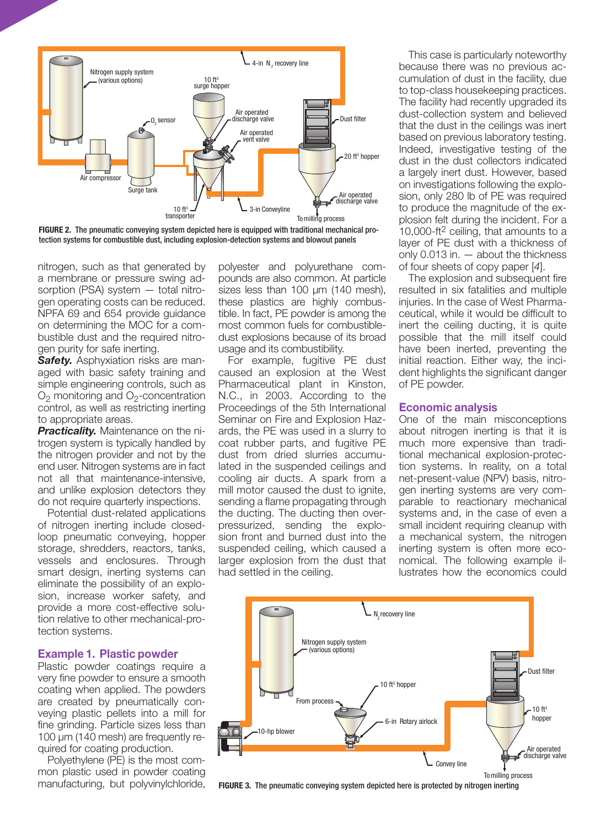

FIGURE 2. The pneumatic conveying system depicted here is equipped with traditional mechanical protection systems for combustible dust, including explosion-detection systems and blowout panels

nitrogen, such as that generated by a membrane or pressure swing adsorption (PSA) system — total nitrogen operating costs can be reduced. NPFA 69 and 654 provide guidance on determining the MOC for a combustible dust and the required nitrogen purity for safe inerting.

*Safety.* Asphyxiation risks are managed with basic safety training and simple engineering controls, such as  $O<sub>2</sub>$  monitoring and  $O<sub>2</sub>$ -concentration control, as well as restricting inerting to appropriate areas.

*Practicality.* Maintenance on the nitrogen system is typically handled by the nitrogen provider and not by the end user. Nitrogen systems are in fact not all that maintenance-intensive, and unlike explosion detectors they do not require quarterly inspections.

Potential dust-related applications of nitrogen inerting include closedloop pneumatic conveying, hopper storage, shredders, reactors, tanks, vessels and enclosures. Through smart design, inerting systems can eliminate the possibility of an explosion, increase worker safety, and provide a more cost-effective solution relative to other mechanical-protection systems.

### Example 1. Plastic powder

Plastic powder coatings require a very fine powder to ensure a smooth coating when applied. The powders are created by pneumatically conveying plastic pellets into a mill for fine grinding. Particle sizes less than 100 µm (140 mesh) are frequently required for coating production.

Polyethylene (PE) is the most common plastic used in powder coating manufacturing, but polyvinylchloride,

polyester and polyurethane compounds are also common. At particle sizes less than 100 µm (140 mesh), these plastics are highly combustible. In fact, PE powder is among the most common fuels for combustibledust explosions because of its broad usage and its combustibility.

For example, fugitive PE dust caused an explosion at the West Pharmaceutical plant in Kinston, N.C., in 2003. According to the Proceedings of the 5th International Seminar on Fire and Explosion Hazards, the PE was used in a slurry to coat rubber parts, and fugitive PE dust from dried slurries accumulated in the suspended ceilings and cooling air ducts. A spark from a mill motor caused the dust to ignite, sending a flame propagating through the ducting. The ducting then overpressurized, sending the explosion front and burned dust into the suspended ceiling, which caused a larger explosion from the dust that had settled in the ceiling.

This case is particularly noteworthy because there was no previous accumulation of dust in the facility, due to top-class housekeeping practices. The facility had recently upgraded its dust-collection system and believed that the dust in the ceilings was inert based on previous laboratory testing. Indeed, investigative testing of the dust in the dust collectors indicated a largely inert dust. However, based on investigations following the explosion, only 280 lb of PE was required to produce the magnitude of the explosion felt during the incident. For a 10,000-ft2 ceiling, that amounts to a layer of PE dust with a thickness of only 0.013 in. — about the thickness of four sheets of copy paper [*4*].

The explosion and subsequent fire resulted in six fatalities and multiple injuries. In the case of West Pharmaceutical, while it would be difficult to inert the ceiling ducting, it is quite possible that the mill itself could have been inerted, preventing the initial reaction. Either way, the incident highlights the significant danger of PE powder.

#### Economic analysis

One of the main misconceptions about nitrogen inerting is that it is much more expensive than traditional mechanical explosion-protection systems. In reality, on a total net-present-value (NPV) basis, nitrogen inerting systems are very comparable to reactionary mechanical systems and, in the case of even a small incident requiring cleanup with a mechanical system, the nitrogen inerting system is often more economical. The following example illustrates how the economics could



FIGURE 3. The pneumatic conveying system depicted here is protected by nitrogen inerting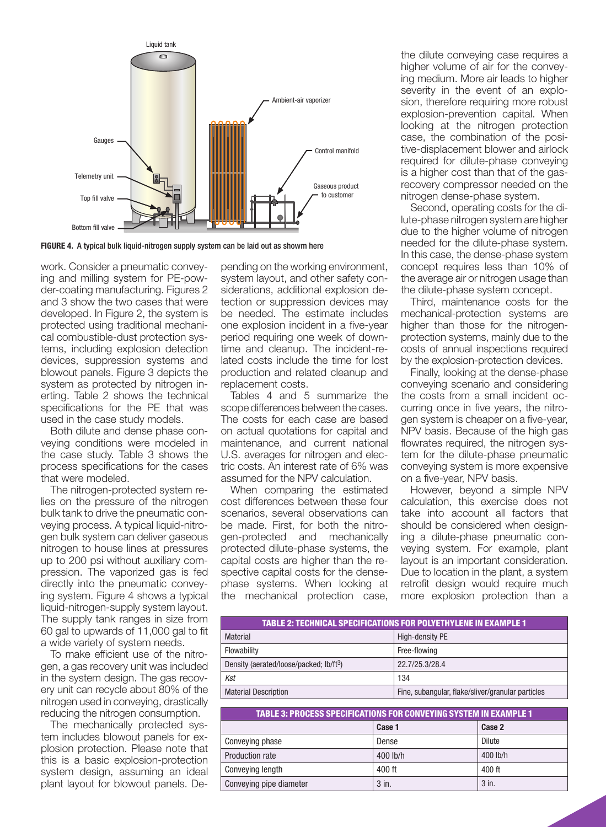

FIGURE 4. A typical bulk liquid-nitrogen supply system can be laid out as showm here

work. Consider a pneumatic conveying and milling system for PE-powder-coating manufacturing. Figures 2 and 3 show the two cases that were developed. In Figure 2, the system is protected using traditional mechanical combustible-dust protection systems, including explosion detection devices, suppression systems and blowout panels. Figure 3 depicts the system as protected by nitrogen inerting. Table 2 shows the technical specifications for the PE that was used in the case study models.

Both dilute and dense phase conveying conditions were modeled in the case study. Table 3 shows the process specifications for the cases that were modeled.

The nitrogen-protected system relies on the pressure of the nitrogen bulk tank to drive the pneumatic conveying process. A typical liquid-nitrogen bulk system can deliver gaseous nitrogen to house lines at pressures up to 200 psi without auxiliary compression. The vaporized gas is fed directly into the pneumatic conveying system. Figure 4 shows a typical liquid-nitrogen-supply system layout. The supply tank ranges in size from 60 gal to upwards of 11,000 gal to fit a wide variety of system needs.

To make efficient use of the nitrogen, a gas recovery unit was included in the system design. The gas recovery unit can recycle about 80% of the nitrogen used in conveying, drastically reducing the nitrogen consumption.

The mechanically protected system includes blowout panels for explosion protection. Please note that this is a basic explosion-protection system design, assuming an ideal plant layout for blowout panels. Depending on the working environment, system layout, and other safety considerations, additional explosion detection or suppression devices may be needed. The estimate includes one explosion incident in a five-year period requiring one week of downtime and cleanup. The incident-related costs include the time for lost production and related cleanup and replacement costs.

Tables 4 and 5 summarize the scope differences between the cases. The costs for each case are based on actual quotations for capital and maintenance, and current national U.S. averages for nitrogen and electric costs. An interest rate of 6% was assumed for the NPV calculation.

When comparing the estimated cost differences between these four scenarios, several observations can be made. First, for both the nitrogen-protected and mechanically protected dilute-phase systems, the capital costs are higher than the respective capital costs for the densephase systems. When looking at the mechanical protection case,

the dilute conveying case requires a higher volume of air for the conveying medium. More air leads to higher severity in the event of an explosion, therefore requiring more robust explosion-prevention capital. When looking at the nitrogen protection case, the combination of the positive-displacement blower and airlock required for dilute-phase conveying is a higher cost than that of the gasrecovery compressor needed on the nitrogen dense-phase system.

Second, operating costs for the dilute-phase nitrogen system are higher due to the higher volume of nitrogen needed for the dilute-phase system. In this case, the dense-phase system concept requires less than 10% of the average air or nitrogen usage than the dilute-phase system concept.

Third, maintenance costs for the mechanical-protection systems are higher than those for the nitrogenprotection systems, mainly due to the costs of annual inspections required by the explosion-protection devices.

Finally, looking at the dense-phase conveying scenario and considering the costs from a small incident occurring once in five years, the nitrogen system is cheaper on a five-year, NPV basis. Because of the high gas flowrates required, the nitrogen system for the dilute-phase pneumatic conveying system is more expensive on a five-year, NPV basis.

However, beyond a simple NPV calculation, this exercise does not take into account all factors that should be considered when designing a dilute-phase pneumatic conveying system. For example, plant layout is an important consideration. Due to location in the plant, a system retrofit design would require much more explosion protection than a

| <b>TABLE 2: TECHNICAL SPECIFICATIONS FOR POLYETHYLENE IN EXAMPLE 1</b> |                                                   |  |  |  |
|------------------------------------------------------------------------|---------------------------------------------------|--|--|--|
| Material                                                               | High-density PE                                   |  |  |  |
| Flowability                                                            | Free-flowing                                      |  |  |  |
| Density (aerated/loose/packed; lb/ft <sup>3</sup> )                    | 22.7/25.3/28.4                                    |  |  |  |
| Kst                                                                    | 134                                               |  |  |  |
| <b>Material Description</b>                                            | Fine, subangular, flake/sliver/granular particles |  |  |  |

| <b>TABLE 3: PROCESS SPECIFICATIONS FOR CONVEYING SYSTEM IN EXAMPLE 1</b> |          |          |  |  |  |
|--------------------------------------------------------------------------|----------|----------|--|--|--|
|                                                                          | Case 1   | Case 2   |  |  |  |
| Conveying phase                                                          | Dense    | Dilute   |  |  |  |
| <b>Production rate</b>                                                   | 400 lb/h | 400 lb/h |  |  |  |
| Conveying length                                                         | 400 ft   | 400 ft   |  |  |  |
| Conveying pipe diameter                                                  | 3 in.    | $3$ in.  |  |  |  |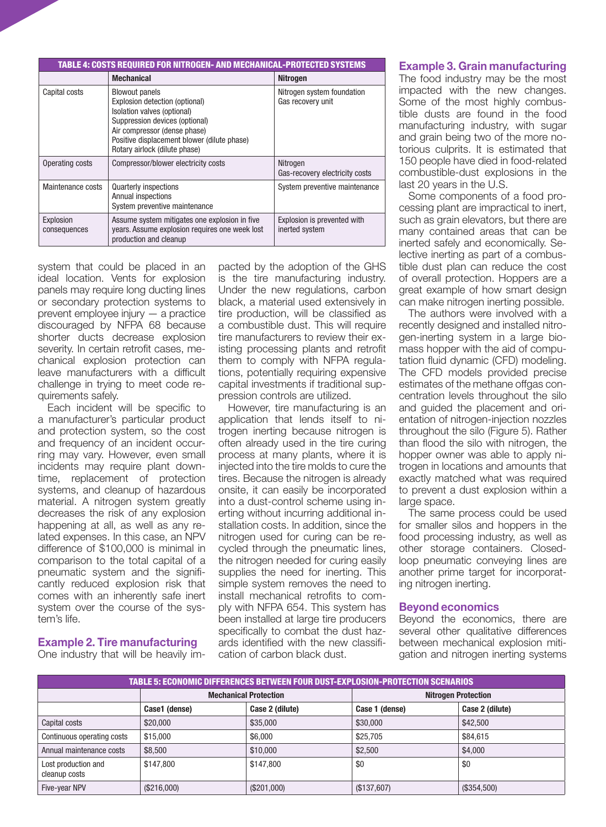| TABLE 4: COSTS REQUIRED FOR NITROGEN- AND MECHANICAL-PROTECTED SYSTEMS |                                                                                                                                                                                                                                          |                                                 |  |  |  |
|------------------------------------------------------------------------|------------------------------------------------------------------------------------------------------------------------------------------------------------------------------------------------------------------------------------------|-------------------------------------------------|--|--|--|
|                                                                        | <b>Mechanical</b>                                                                                                                                                                                                                        | <b>Nitrogen</b>                                 |  |  |  |
| Capital costs                                                          | <b>Blowout panels</b><br>Explosion detection (optional)<br>Isolation valves (optional)<br>Suppression devices (optional)<br>Air compressor (dense phase)<br>Positive displacement blower (dilute phase)<br>Rotary airlock (dilute phase) | Nitrogen system foundation<br>Gas recovery unit |  |  |  |
| Operating costs                                                        | Compressor/blower electricity costs                                                                                                                                                                                                      | Nitrogen<br>Gas-recovery electricity costs      |  |  |  |
| Maintenance costs                                                      | <b>Quarterly inspections</b><br>Annual inspections<br>System preventive maintenance                                                                                                                                                      | System preventive maintenance                   |  |  |  |
| Explosion<br>consequences                                              | Assume system mitigates one explosion in five<br>years. Assume explosion requires one week lost<br>production and cleanup                                                                                                                | Explosion is prevented with<br>inerted system   |  |  |  |

system that could be placed in an ideal location. Vents for explosion panels may require long ducting lines or secondary protection systems to prevent employee injury — a practice discouraged by NFPA 68 because shorter ducts decrease explosion severity. In certain retrofit cases, mechanical explosion protection can leave manufacturers with a difficult challenge in trying to meet code requirements safely.

Each incident will be specific to a manufacturer's particular product and protection system, so the cost and frequency of an incident occurring may vary. However, even small incidents may require plant downtime, replacement of protection systems, and cleanup of hazardous material. A nitrogen system greatly decreases the risk of any explosion happening at all, as well as any related expenses. In this case, an NPV difference of \$100,000 is minimal in comparison to the total capital of a pneumatic system and the significantly reduced explosion risk that comes with an inherently safe inert system over the course of the system's life.

#### Example 2. Tire manufacturing One industry that will be heavily im-

pacted by the adoption of the GHS is the tire manufacturing industry. Under the new regulations, carbon black, a material used extensively in tire production, will be classified as a combustible dust. This will require tire manufacturers to review their existing processing plants and retrofit them to comply with NFPA regulations, potentially requiring expensive capital investments if traditional suppression controls are utilized.

However, tire manufacturing is an application that lends itself to nitrogen inerting because nitrogen is often already used in the tire curing process at many plants, where it is injected into the tire molds to cure the tires. Because the nitrogen is already onsite, it can easily be incorporated into a dust-control scheme using inerting without incurring additional installation costs. In addition, since the nitrogen used for curing can be recycled through the pneumatic lines, the nitrogen needed for curing easily supplies the need for inerting. This simple system removes the need to install mechanical retrofits to comply with NFPA 654. This system has been installed at large tire producers specifically to combat the dust hazards identified with the new classification of carbon black dust.

# Example 3. Grain manufacturing

The food industry may be the most impacted with the new changes. Some of the most highly combustible dusts are found in the food manufacturing industry, with sugar and grain being two of the more notorious culprits. It is estimated that 150 people have died in food-related combustible-dust explosions in the last 20 years in the U.S.

Some components of a food processing plant are impractical to inert, such as grain elevators, but there are many contained areas that can be inerted safely and economically. Selective inerting as part of a combustible dust plan can reduce the cost of overall protection. Hoppers are a great example of how smart design can make nitrogen inerting possible.

The authors were involved with a recently designed and installed nitrogen-inerting system in a large biomass hopper with the aid of computation fluid dynamic (CFD) modeling. The CFD models provided precise estimates of the methane offgas concentration levels throughout the silo and guided the placement and orientation of nitrogen-injection nozzles throughout the silo (Figure 5). Rather than flood the silo with nitrogen, the hopper owner was able to apply nitrogen in locations and amounts that exactly matched what was required to prevent a dust explosion within a large space.

The same process could be used for smaller silos and hoppers in the food processing industry, as well as other storage containers. Closedloop pneumatic conveying lines are another prime target for incorporating nitrogen inerting.

# Beyond economics

Beyond the economics, there are several other qualitative differences between mechanical explosion mitigation and nitrogen inerting systems

| TABLE 5: ECONOMIC DIFFERENCES BETWEEN FOUR DUST-EXPLOSION-PROTECTION SCENARIOS |                              |                 |                            |                 |  |  |  |
|--------------------------------------------------------------------------------|------------------------------|-----------------|----------------------------|-----------------|--|--|--|
|                                                                                | <b>Mechanical Protection</b> |                 | <b>Nitrogen Protection</b> |                 |  |  |  |
|                                                                                | Case1 (dense)                | Case 2 (dilute) | Case 1 (dense)             | Case 2 (dilute) |  |  |  |
| Capital costs                                                                  | \$20,000                     | \$35,000        | \$30,000                   | \$42,500        |  |  |  |
| Continuous operating costs                                                     | \$15,000                     | \$6,000         | \$25,705                   | \$84.615        |  |  |  |
| Annual maintenance costs                                                       | \$8,500                      | \$10,000        | \$2,500                    | \$4,000         |  |  |  |
| Lost production and<br>cleanup costs                                           | \$147.800                    | \$147,800       | \$0                        | \$0             |  |  |  |
| Five-year NPV                                                                  | (\$216,000)                  | (\$201,000)     | (\$137,607)                | (\$354,500)     |  |  |  |